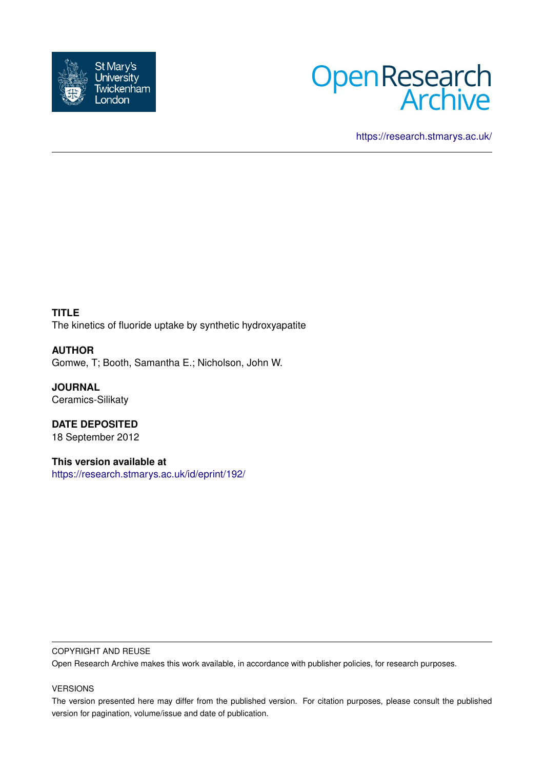



<https://research.stmarys.ac.uk/>

**TITLE** The kinetics of fluoride uptake by synthetic hydroxyapatite

**AUTHOR** Gomwe, T; Booth, Samantha E.; Nicholson, John W.

**JOURNAL** Ceramics-Silikaty

**DATE DEPOSITED** 18 September 2012

**This version available at** <https://research.stmarys.ac.uk/id/eprint/192/>

# COPYRIGHT AND REUSE

Open Research Archive makes this work available, in accordance with publisher policies, for research purposes.

# VERSIONS

The version presented here may differ from the published version. For citation purposes, please consult the published version for pagination, volume/issue and date of publication.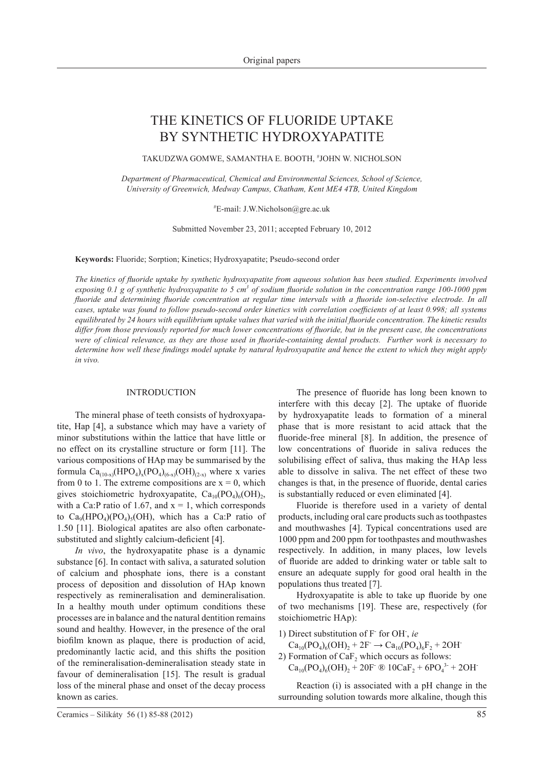# The kinetics of fluoride uptake by synthetic hydroxyapatite

Takudzwa Gomwe, Samantha E. Booth, # John W. Nicholson

*Department of Pharmaceutical, Chemical and Environmental Sciences, School of Science, University of Greenwich, Medway Campus, Chatham, Kent ME4 4TB, United Kingdom*

# E-mail: J.W.Nicholson@gre.ac.uk

Submitted November 23, 2011; accepted February 10, 2012

**Keywords:** Fluoride; Sorption; Kinetics; Hydroxyapatite; Pseudo-second order

*The kinetics of fluoride uptake by synthetic hydroxyapatite from aqueous solution has been studied. Experiments involved*  exposing 0.1 g of synthetic hydroxyapatite to 5 cm<sup>3</sup> of sodium fluoride solution in the concentration range 100-1000 ppm *fluoride and determining fluoride concentration at regular time intervals with a fluoride ion-selective electrode. In all cases, uptake was found to follow pseudo-second order kinetics with correlation coefficients of at least 0.998; all systems equilibrated by 24 hours with equilibrium uptake values that varied with the initial fluoride concentration. The kinetic results differ from those previously reported for much lower concentrations of fluoride, but in the present case, the concentrations were of clinical relevance, as they are those used in fluoride-containing dental products. Further work is necessary to determine how well these findings model uptake by natural hydroxyapatite and hence the extent to which they might apply in vivo.*

### **INTRODUCTION**

The mineral phase of teeth consists of hydroxyapatite, Hap [4], a substance which may have a variety of minor substitutions within the lattice that have little or no effect on its crystalline structure or form [11]. The various compositions of HAp may be summarised by the formula  $Ca_{(10-x)}(HPO_4)_x(PO_4)_{(6-x)}(OH)_{(2-x)}$  where x varies from 0 to 1. The extreme compositions are  $x = 0$ , which gives stoichiometric hydroxyapatite,  $Ca_{10}(PO_4)_6(OH)_2$ , with a Ca:P ratio of 1.67, and  $x = 1$ , which corresponds to  $Ca_9(HPO_4)(PO_4)_{5}(OH)$ , which has a Ca:P ratio of 1.50 [11]. Biological apatites are also often carbonatesubstituted and slightly calcium-deficient [4].

*In vivo*, the hydroxyapatite phase is a dynamic substance [6]. In contact with saliva, a saturated solution of calcium and phosphate ions, there is a constant process of deposition and dissolution of HAp known respectively as remineralisation and demineralisation. In a healthy mouth under optimum conditions these processes are in balance and the natural dentition remains sound and healthy. However, in the presence of the oral biofilm known as plaque, there is production of acid, predominantly lactic acid, and this shifts the position of the remineralisation-demineralisation steady state in favour of demineralisation [15]. The result is gradual loss of the mineral phase and onset of the decay process known as caries.

The presence of fluoride has long been known to interfere with this decay [2]. The uptake of fluoride by hydroxyapatite leads to formation of a mineral phase that is more resistant to acid attack that the fluoride-free mineral [8]. In addition, the presence of low concentrations of fluoride in saliva reduces the solubilising effect of saliva, thus making the HAp less able to dissolve in saliva. The net effect of these two changes is that, in the presence of fluoride, dental caries is substantially reduced or even eliminated [4].

 Fluoride is therefore used in a variety of dental products, including oral care products such as toothpastes and mouthwashes [4]. Typical concentrations used are 1000 ppm and 200 ppm for toothpastes and mouthwashes respectively. In addition, in many places, low levels of fluoride are added to drinking water or table salt to ensure an adequate supply for good oral health in the populations thus treated [7].

Hydroxyapatite is able to take up fluoride by one of two mechanisms [19]. These are, respectively (for stoichiometric HAp):

1) Direct substitution of 
$$
F
$$
 for OH, *ie*

 $Ca_{10}(PO_4)_6(OH)_2 + 2F \rightarrow Ca_{10}(PO_4)_6F_2 + 2OH$ 2) Formation of  $CaF<sub>2</sub>$  which occurs as follows:

 $Ca_{10}(PO_4)_6(OH)_2 + 20F^{\dagger} \otimes 10CaF_2 + 6PO_4^{3} + 2OH^{\dagger}$ 

 Reaction (i) is associated with a pH change in the surrounding solution towards more alkaline, though this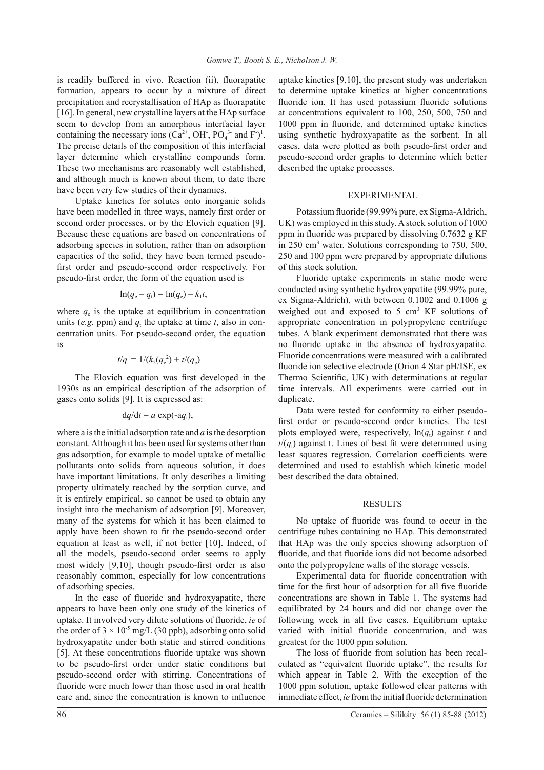is readily buffered in vivo. Reaction (ii), fluorapatite formation, appears to occur by a mixture of direct precipitation and recrystallisation of HAp as fluorapatite [16]. In general, new crystalline layers at the HAp surface seem to develop from an amorphous interfacial layer containing the necessary ions  $(Ca^{2+}, OH, PO_4^{3-}$  and  $F)^1$ . The precise details of the composition of this interfacial layer determine which crystalline compounds form. These two mechanisms are reasonably well established, and although much is known about them, to date there have been very few studies of their dynamics.

 Uptake kinetics for solutes onto inorganic solids have been modelled in three ways, namely first order or second order processes, or by the Elovich equation [9]. Because these equations are based on concentrations of adsorbing species in solution, rather than on adsorption capacities of the solid, they have been termed pseudofirst order and pseudo-second order respectively. For pseudo-first order, the form of the equation used is

$$
\ln(q_{\rm e}-q_{\rm t})=\ln(q_{\rm e})-k_1t,
$$

where  $q_e$  is the uptake at equilibrium in concentration units (*e.g.* ppm) and  $q_t$  the uptake at time *t*, also in concentration units. For pseudo-second order, the equation is

$$
t/q_{\rm t}=1/(k_2(q_{\rm e}^{\ 2})+t/(q_{\rm e})
$$

The Elovich equation was first developed in the 1930s as an empirical description of the adsorption of gases onto solids [9]. It is expressed as:

$$
dq/dt = a \exp(-aq_t),
$$

where a is the initial adsorption rate and *a* is the desorption constant. Although it has been used for systems other than gas adsorption, for example to model uptake of metallic pollutants onto solids from aqueous solution, it does have important limitations. It only describes a limiting property ultimately reached by the sorption curve, and it is entirely empirical, so cannot be used to obtain any insight into the mechanism of adsorption [9]. Moreover, many of the systems for which it has been claimed to apply have been shown to fit the pseudo-second order equation at least as well, if not better [10]. Indeed, of all the models, pseudo-second order seems to apply most widely [9,10], though pseudo-first order is also reasonably common, especially for low concentrations of adsorbing species.

In the case of fluoride and hydroxyapatite, there appears to have been only one study of the kinetics of uptake. It involved very dilute solutions of fluoride, *ie* of the order of  $3 \times 10^{-5}$  mg/L (30 ppb), adsorbing onto solid hydroxyapatite under both static and stirred conditions [5]. At these concentrations fluoride uptake was shown to be pseudo-first order under static conditions but pseudo-second order with stirring. Concentrations of fluoride were much lower than those used in oral health care and, since the concentration is known to influence

uptake kinetics [9,10], the present study was undertaken to determine uptake kinetics at higher concentrations fluoride ion. It has used potassium fluoride solutions at concentrations equivalent to 100, 250, 500, 750 and 1000 ppm in fluoride, and determined uptake kinetics using synthetic hydroxyapatite as the sorbent. In all cases, data were plotted as both pseudo-first order and pseudo-second order graphs to determine which better described the uptake processes.

# EXPERIMENTAL

Potassium fluoride (99.99% pure, ex Sigma-Aldrich, UK) was employed in this study. A stock solution of 1000 ppm in fluoride was prepared by dissolving 0.7632 g KF in 250 cm3 water. Solutions corresponding to 750, 500, 250 and 100 ppm were prepared by appropriate dilutions of this stock solution.

 Fluoride uptake experiments in static mode were conducted using synthetic hydroxyapatite (99.99% pure, ex Sigma-Aldrich), with between 0.1002 and 0.1006 g weighed out and exposed to  $5 \text{ cm}^3$  KF solutions of appropriate concentration in polypropylene centrifuge tubes. A blank experiment demonstrated that there was no fluoride uptake in the absence of hydroxyapatite. Fluoride concentrations were measured with a calibrated fluoride ion selective electrode (Orion 4 Star pH/ISE, ex Thermo Scientific, UK) with determinations at regular time intervals. All experiments were carried out in duplicate.

 Data were tested for conformity to either pseudofirst order or pseudo-second order kinetics. The test plots employed were, respectively,  $ln(q_t)$  against *t* and  $t/(q<sub>t</sub>)$  against t. Lines of best fit were determined using least squares regression. Correlation coefficients were determined and used to establish which kinetic model best described the data obtained.

## **RESULTS**

No uptake of fluoride was found to occur in the centrifuge tubes containing no HAp. This demonstrated that HAp was the only species showing adsorption of fluoride, and that fluoride ions did not become adsorbed onto the polypropylene walls of the storage vessels.

Experimental data for fluoride concentration with time for the first hour of adsorption for all five fluoride concentrations are shown in Table 1. The systems had equilibrated by 24 hours and did not change over the following week in all five cases. Equilibrium uptake varied with initial fluoride concentration, and was greatest for the 1000 ppm solution.

The loss of fluoride from solution has been recalculated as "equivalent fluoride uptake", the results for which appear in Table 2. With the exception of the 1000 ppm solution, uptake followed clear patterns with immediate effect, *ie* from the initial fluoride determination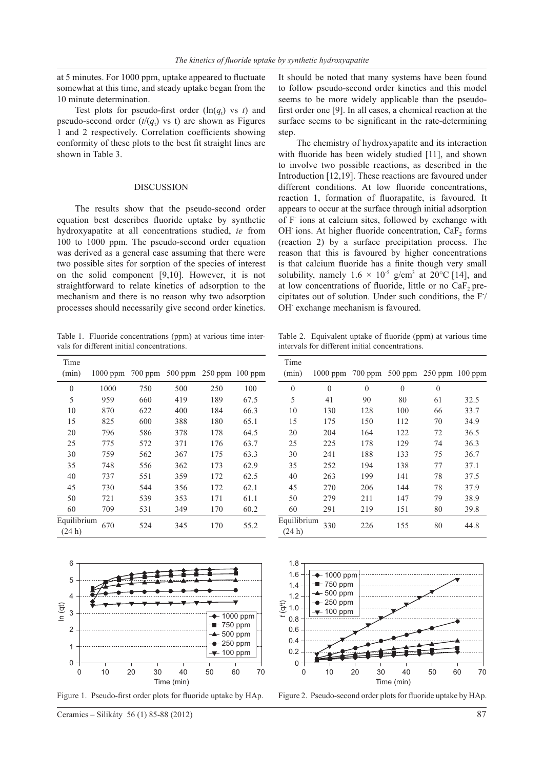at 5 minutes. For 1000 ppm, uptake appeared to fluctuate somewhat at this time, and steady uptake began from the 10 minute determination.

Test plots for pseudo-first order  $(\ln(q_t)$  vs *t*) and pseudo-second order  $(t/(q_t)$  vs t) are shown as Figures 1 and 2 respectively. Correlation coefficients showing conformity of these plots to the best fit straight lines are shown in Table 3.

#### **DISCUSSION**

The results show that the pseudo-second order equation best describes fluoride uptake by synthetic hydroxyapatite at all concentrations studied, *ie* from 100 to 1000 ppm. The pseudo-second order equation was derived as a general case assuming that there were two possible sites for sorption of the species of interest on the solid component [9,10]. However, it is not straightforward to relate kinetics of adsorption to the mechanism and there is no reason why two adsorption processes should necessarily give second order kinetics.

Table 1. Fluoride concentrations (ppm) at various time intervals for different initial concentrations.

| Time<br>(min)        | $1000$ ppm |     | 700 ppm 500 ppm 250 ppm 100 ppm |     |      |
|----------------------|------------|-----|---------------------------------|-----|------|
| $\mathbf{0}$         | 1000       | 750 | 500                             | 250 | 100  |
| 5                    | 959        | 660 | 419                             | 189 | 67.5 |
| 10                   | 870        | 622 | 400                             | 184 | 66.3 |
| 15                   | 825        | 600 | 388                             | 180 | 65.1 |
| 20                   | 796        | 586 | 378                             | 178 | 64.5 |
| 25                   | 775        | 572 | 371                             | 176 | 63.7 |
| 30                   | 759        | 562 | 367                             | 175 | 63.3 |
| 35                   | 748        | 556 | 362                             | 173 | 62.9 |
| 40                   | 737        | 551 | 359                             | 172 | 62.5 |
| 45                   | 730        | 544 | 356                             | 172 | 62.1 |
| 50                   | 721        | 539 | 353                             | 171 | 61.1 |
| 60                   | 709        | 531 | 349                             | 170 | 60.2 |
| Equilibrium<br>(24h) | 670        | 524 | 345                             | 170 | 55.2 |



Figure 1. Pseudo-first order plots for fluoride uptake by HAp. Figure 2. Pseudo-second order plots for fluoride uptake by HAp

It should be noted that many systems have been found to follow pseudo-second order kinetics and this model seems to be more widely applicable than the pseudofirst order one [9]. In all cases, a chemical reaction at the surface seems to be significant in the rate-determining step.

The chemistry of hydroxyapatite and its interaction with fluoride has been widely studied [11], and shown to involve two possible reactions, as described in the Introduction [12,19]. These reactions are favoured under different conditions. At low fluoride concentrations, reaction 1, formation of fluorapatite, is favoured. It appears to occur at the surface through initial adsorption of F- ions at calcium sites, followed by exchange with OH ions. At higher fluoride concentration, CaF<sub>2</sub> forms (reaction 2) by a surface precipitation process. The reason that this is favoured by higher concentrations is that calcium fluoride has a finite though very small solubility, namely  $1.6 \times 10^{-5}$  g/cm<sup>3</sup> at 20°C [14], and at low concentrations of fluoride, little or no  $CaF<sub>2</sub>$  precipitates out of solution. Under such conditions, the F- / OH<sup>-</sup> exchange mechanism is favoured.

Table 2. Equivalent uptake of fluoride (ppm) at various time intervals for different initial concentrations.

| Time                  |                                          |              |          |                |      |
|-----------------------|------------------------------------------|--------------|----------|----------------|------|
| (min)                 | 1000 ppm 700 ppm 500 ppm 250 ppm 100 ppm |              |          |                |      |
| $\theta$              | $\theta$                                 | $\mathbf{0}$ | $\theta$ | $\overline{0}$ |      |
| 5                     | 41                                       | 90           | 80       | 61             | 32.5 |
| 10                    | 130                                      | 128          | 100      | 66             | 33.7 |
| 15                    | 175                                      | 150          | 112      | 70             | 34.9 |
| 20                    | 204                                      | 164          | 122      | 72             | 36.5 |
| 25                    | 225                                      | 178          | 129      | 74             | 36.3 |
| 30                    | 241                                      | 188          | 133      | 75             | 36.7 |
| 35                    | 252                                      | 194          | 138      | 77             | 37.1 |
| 40                    | 263                                      | 199          | 141      | 78             | 37.5 |
| 45                    | 270                                      | 206          | 144      | 78             | 37.9 |
| 50                    | 279                                      | 211          | 147      | 79             | 38.9 |
| 60                    | 291                                      | 219          | 151      | 80             | 39.8 |
| Equilibrium<br>(24 h) | 330                                      | 226          | 155      | 80             | 44.8 |